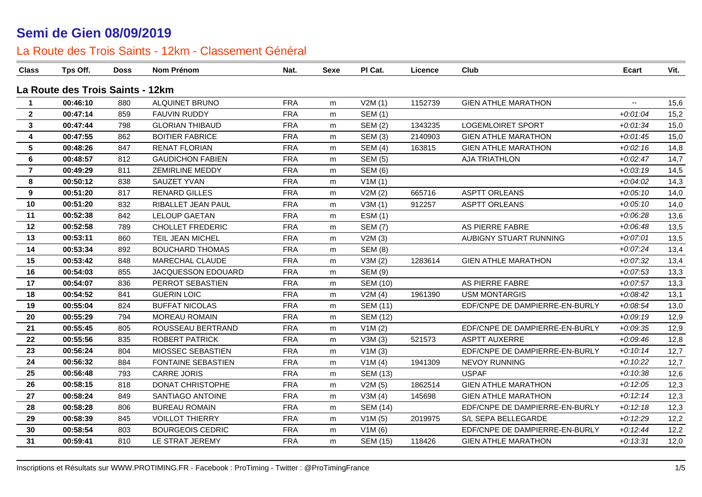| <b>Class</b>    | Tps Off.                         | <b>Doss</b> | <b>Nom Prénom</b>       | Nat.       | <b>Sexe</b> | PI Cat.         | Licence | Club                           | Ecart                    | Vit. |
|-----------------|----------------------------------|-------------|-------------------------|------------|-------------|-----------------|---------|--------------------------------|--------------------------|------|
|                 | La Route des Trois Saints - 12km |             |                         |            |             |                 |         |                                |                          |      |
| -1              | 00:46:10                         | 880         | ALQUINET BRUNO          | <b>FRA</b> | m           | V2M(1)          | 1152739 | <b>GIEN ATHLE MARATHON</b>     | $\overline{\phantom{a}}$ | 15,6 |
| $\overline{2}$  | 00:47:14                         | 859         | <b>FAUVIN RUDDY</b>     | <b>FRA</b> | m           | <b>SEM (1)</b>  |         |                                | $+0.01:04$               | 15,2 |
| $\mathbf{3}$    | 00:47:44                         | 798         | <b>GLORIAN THIBAUD</b>  | <b>FRA</b> | m           | <b>SEM (2)</b>  | 1343235 | <b>LOGEMLOIRET SPORT</b>       | $+0.01.34$               | 15,0 |
| 4               | 00:47:55                         | 862         | <b>BOITIER FABRICE</b>  | <b>FRA</b> | m           | <b>SEM (3)</b>  | 2140903 | <b>GIEN ATHLE MARATHON</b>     | $+0.01:45$               | 15,0 |
| $5\phantom{.0}$ | 00:48:26                         | 847         | <b>RENAT FLORIAN</b>    | <b>FRA</b> | m           | <b>SEM (4)</b>  | 163815  | <b>GIEN ATHLE MARATHON</b>     | $+0.02:16$               | 14,8 |
| 6               | 00:48:57                         | 812         | <b>GAUDICHON FABIEN</b> | <b>FRA</b> | m           | <b>SEM (5)</b>  |         | <b>AJA TRIATHLON</b>           | $+0.02:47$               | 14,7 |
| $\overline{7}$  | 00:49:29                         | 811         | <b>ZEMIRLINE MEDDY</b>  | <b>FRA</b> | m           | <b>SEM (6)</b>  |         |                                | $+0.03:19$               | 14,5 |
| 8               | 00:50:12                         | 838         | SAUZET YVAN             | <b>FRA</b> | m           | V1M(1)          |         |                                | $+0.04:02$               | 14,3 |
| 9               | 00:51:20                         | 817         | <b>RENARD GILLES</b>    | <b>FRA</b> | m           | V2M(2)          | 665716  | <b>ASPTT ORLEANS</b>           | $+0.05:10$               | 14,0 |
| 10              | 00:51:20                         | 832         | RIBALLET JEAN PAUL      | <b>FRA</b> | m           | V3M(1)          | 912257  | <b>ASPTT ORLEANS</b>           | $+0.05:10$               | 14,0 |
| 11              | 00:52:38                         | 842         | <b>LELOUP GAETAN</b>    | <b>FRA</b> | m           | <b>ESM (1)</b>  |         |                                | $+0.06:28$               | 13,6 |
| 12              | 00:52:58                         | 789         | <b>CHOLLET FREDERIC</b> | <b>FRA</b> | m           | <b>SEM (7)</b>  |         | AS PIERRE FABRE                | $+0.06:48$               | 13,5 |
| 13              | 00:53:11                         | 860         | TEIL JEAN MICHEL        | <b>FRA</b> | m           | V2M(3)          |         | AUBIGNY STUART RUNNING         | $+0.07:01$               | 13,5 |
| 14              | 00:53:34                         | 892         | <b>BOUCHARD THOMAS</b>  | <b>FRA</b> | m           | <b>SEM (8)</b>  |         |                                | $+0.07:24$               | 13,4 |
| 15              | 00:53:42                         | 848         | MARECHAL CLAUDE         | <b>FRA</b> | m           | V3M(2)          | 1283614 | <b>GIEN ATHLE MARATHON</b>     | $+0.07:32$               | 13,4 |
| 16              | 00:54:03                         | 855         | JACQUESSON EDOUARD      | <b>FRA</b> | m           | <b>SEM (9)</b>  |         |                                | $+0.07:53$               | 13,3 |
| 17              | 00:54:07                         | 836         | PERROT SEBASTIEN        | <b>FRA</b> | m           | <b>SEM (10)</b> |         | AS PIERRE FABRE                | $+0.07:57$               | 13,3 |
| 18              | 00:54:52                         | 841         | <b>GUERIN LOIC</b>      | <b>FRA</b> | m           | V2M(4)          | 1961390 | <b>USM MONTARGIS</b>           | $+0.08:42$               | 13,1 |
| 19              | 00:55:04                         | 824         | <b>BUFFAT NICOLAS</b>   | <b>FRA</b> | m           | <b>SEM (11)</b> |         | EDF/CNPE DE DAMPIERRE-EN-BURLY | $+0.08:54$               | 13,0 |
| 20              | 00:55:29                         | 794         | <b>MOREAU ROMAIN</b>    | <b>FRA</b> | m           | <b>SEM (12)</b> |         |                                | $+0.09:19$               | 12,9 |
| 21              | 00:55:45                         | 805         | ROUSSEAU BERTRAND       | <b>FRA</b> | m           | V1M(2)          |         | EDF/CNPE DE DAMPIERRE-EN-BURLY | $+0.09335$               | 12,9 |
| 22              | 00:55:56                         | 835         | <b>ROBERT PATRICK</b>   | <b>FRA</b> | m           | V3M(3)          | 521573  | <b>ASPTT AUXERRE</b>           | $+0.09:46$               | 12,8 |
| 23              | 00:56:24                         | 804         | MIOSSEC SEBASTIEN       | <b>FRA</b> | m           | V1M(3)          |         | EDF/CNPE DE DAMPIERRE-EN-BURLY | $+0:10:14$               | 12,7 |
| 24              | 00:56:32                         | 884         | FONTAINE SEBASTIEN      | <b>FRA</b> | m           | V1M(4)          | 1941309 | <b>NEVOY RUNNING</b>           | $+0:10:22$               | 12,7 |
| 25              | 00:56:48                         | 793         | <b>CARRE JORIS</b>      | <b>FRA</b> | m           | <b>SEM (13)</b> |         | <b>USPAF</b>                   | $+0:10:38$               | 12,6 |
| 26              | 00:58:15                         | 818         | DONAT CHRISTOPHE        | <b>FRA</b> | m           | V2M(5)          | 1862514 | <b>GIEN ATHLE MARATHON</b>     | $+0:12:05$               | 12,3 |
| 27              | 00:58:24                         | 849         | SANTIAGO ANTOINE        | <b>FRA</b> | m           | V3M(4)          | 145698  | <b>GIEN ATHLE MARATHON</b>     | $+0:12:14$               | 12,3 |
| 28              | 00:58:28                         | 806         | <b>BUREAU ROMAIN</b>    | <b>FRA</b> | m           | <b>SEM (14)</b> |         | EDF/CNPE DE DAMPIERRE-EN-BURLY | $+0:12:18$               | 12,3 |
| 29              | 00:58:39                         | 845         | <b>VOILLOT THIERRY</b>  | <b>FRA</b> | m           | V1M(5)          | 2019975 | S/L SEPA BELLEGARDE            | $+0:12:29$               | 12,2 |
| 30              | 00:58:54                         | 803         | <b>BOURGEOIS CEDRIC</b> | <b>FRA</b> | m           | V1M(6)          |         | EDF/CNPE DE DAMPIERRE-EN-BURLY | $+0:12:44$               | 12,2 |
| 31              | 00:59:41                         | 810         | LE STRAT JEREMY         | <b>FRA</b> | m           | <b>SEM (15)</b> | 118426  | <b>GIEN ATHLE MARATHON</b>     | $+0.13.31$               | 12,0 |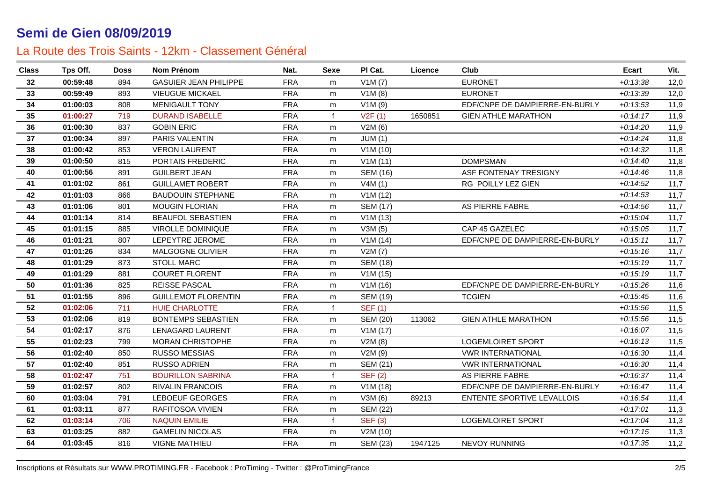| <b>Class</b> | Tps Off. | Doss | Nom Prénom                   | Nat.       | <b>Sexe</b>  | PI Cat.         | Licence | Club                           | Ecart      | Vit. |
|--------------|----------|------|------------------------------|------------|--------------|-----------------|---------|--------------------------------|------------|------|
| 32           | 00:59:48 | 894  | <b>GASUIER JEAN PHILIPPE</b> | <b>FRA</b> | m            | V1M(7)          |         | <b>EURONET</b>                 | $+0:13:38$ | 12,0 |
| 33           | 00:59:49 | 893  | <b>VIEUGUE MICKAEL</b>       | <b>FRA</b> | m            | V1M(8)          |         | <b>EURONET</b>                 | $+0.13.39$ | 12,0 |
| 34           | 01:00:03 | 808  | <b>MENIGAULT TONY</b>        | <b>FRA</b> | m            | V1M(9)          |         | EDF/CNPE DE DAMPIERRE-EN-BURLY | $+0:13:53$ | 11,9 |
| 35           | 01:00:27 | 719  | <b>DURAND ISABELLE</b>       | <b>FRA</b> | f            | V2F(1)          | 1650851 | <b>GIEN ATHLE MARATHON</b>     | $+0:14:17$ | 11,9 |
| 36           | 01:00:30 | 837  | <b>GOBIN ERIC</b>            | <b>FRA</b> | m            | V2M(6)          |         |                                | $+0:14:20$ | 11,9 |
| 37           | 01:00:34 | 897  | PARIS VALENTIN               | <b>FRA</b> | m            | JUM(1)          |         |                                | $+0.14:24$ | 11,8 |
| 38           | 01:00:42 | 853  | <b>VERON LAURENT</b>         | <b>FRA</b> | m            | V1M(10)         |         |                                | $+0.14.32$ | 11,8 |
| 39           | 01:00:50 | 815  | PORTAIS FREDERIC             | <b>FRA</b> | m            | V1M(11)         |         | <b>DOMPSMAN</b>                | $+0.14:40$ | 11,8 |
| 40           | 01:00:56 | 891  | <b>GUILBERT JEAN</b>         | <b>FRA</b> | m            | SEM (16)        |         | ASF FONTENAY TRESIGNY          | $+0.14:46$ | 11,8 |
| 41           | 01:01:02 | 861  | <b>GUILLAMET ROBERT</b>      | <b>FRA</b> | m            | V4M(1)          |         | RG POILLY LEZ GIEN             | $+0:14:52$ | 11,7 |
| 42           | 01:01:03 | 866  | <b>BAUDOUIN STEPHANE</b>     | <b>FRA</b> | m            | V1M(12)         |         |                                | $+0.14.53$ | 11,7 |
| 43           | 01:01:06 | 801  | <b>MOUGIN FLORIAN</b>        | <b>FRA</b> | m            | <b>SEM (17)</b> |         | AS PIERRE FABRE                | $+0.14.56$ | 11,7 |
| 44           | 01:01:14 | 814  | <b>BEAUFOL SEBASTIEN</b>     | <b>FRA</b> | m            | V1M(13)         |         |                                | $+0.15.04$ | 11,7 |
| 45           | 01:01:15 | 885  | VIROLLE DOMINIQUE            | <b>FRA</b> | m            | V3M(5)          |         | CAP 45 GAZELEC                 | $+0:15:05$ | 11,7 |
| 46           | 01:01:21 | 807  | LEPEYTRE JEROME              | <b>FRA</b> | m            | V1M(14)         |         | EDF/CNPE DE DAMPIERRE-EN-BURLY | $+0.15:11$ | 11,7 |
| 47           | 01:01:26 | 834  | MALGOGNE OLIVIER             | <b>FRA</b> | m            | V2M(7)          |         |                                | $+0:15:16$ | 11,7 |
| 48           | 01:01:29 | 873  | <b>STOLL MARC</b>            | <b>FRA</b> | m            | <b>SEM (18)</b> |         |                                | $+0:15:19$ | 11,7 |
| 49           | 01:01:29 | 881  | <b>COURET FLORENT</b>        | <b>FRA</b> | m            | V1M(15)         |         |                                | $+0:15:19$ | 11,7 |
| 50           | 01:01:36 | 825  | <b>REISSE PASCAL</b>         | <b>FRA</b> | m            | V1M (16)        |         | EDF/CNPE DE DAMPIERRE-EN-BURLY | $+0:15:26$ | 11,6 |
| 51           | 01:01:55 | 896  | <b>GUILLEMOT FLORENTIN</b>   | <b>FRA</b> | m            | <b>SEM (19)</b> |         | <b>TCGIEN</b>                  | $+0:15:45$ | 11,6 |
| 52           | 01:02:06 | 711  | <b>HUIE CHARLOTTE</b>        | <b>FRA</b> | $\mathbf f$  | <b>SEF (1)</b>  |         |                                | $+0:15:56$ | 11,5 |
| 53           | 01:02:06 | 819  | <b>BONTEMPS SEBASTIEN</b>    | <b>FRA</b> | m            | <b>SEM (20)</b> | 113062  | <b>GIEN ATHLE MARATHON</b>     | $+0:15:56$ | 11,5 |
| 54           | 01:02:17 | 876  | <b>LENAGARD LAURENT</b>      | <b>FRA</b> | m            | V1M(17)         |         |                                | $+0.16:07$ | 11,5 |
| 55           | 01:02:23 | 799  | <b>MORAN CHRISTOPHE</b>      | <b>FRA</b> | m            | V2M(8)          |         | <b>LOGEMLOIRET SPORT</b>       | $+0:16:13$ | 11,5 |
| 56           | 01:02:40 | 850  | <b>RUSSO MESSIAS</b>         | <b>FRA</b> | m            | V2M(9)          |         | <b>VWR INTERNATIONAL</b>       | $+0.16.30$ | 11,4 |
| 57           | 01:02:40 | 851  | <b>RUSSO ADRIEN</b>          | <b>FRA</b> | m            | SEM (21)        |         | <b>VWR INTERNATIONAL</b>       | $+0.16.30$ | 11,4 |
| 58           | 01:02:47 | 751  | <b>BOURILLON SABRINA</b>     | <b>FRA</b> | $\mathbf{f}$ | <b>SEF (2)</b>  |         | AS PIERRE FABRE                | $+0.16.37$ | 11,4 |
| 59           | 01:02:57 | 802  | <b>RIVALIN FRANCOIS</b>      | <b>FRA</b> | m            | V1M(18)         |         | EDF/CNPE DE DAMPIERRE-EN-BURLY | $+0:16:47$ | 11,4 |
| 60           | 01:03:04 | 791  | <b>LEBOEUF GEORGES</b>       | <b>FRA</b> | m            | V3M(6)          | 89213   | ENTENTE SPORTIVE LEVALLOIS     | $+0:16:54$ | 11,4 |
| 61           | 01:03:11 | 877  | RAFITOSOA VIVIEN             | <b>FRA</b> | m            | <b>SEM (22)</b> |         |                                | $+0:17:01$ | 11,3 |
| 62           | 01:03:14 | 706  | <b>NAQUIN EMILIE</b>         | <b>FRA</b> | $\mathbf f$  | <b>SEF (3)</b>  |         | LOGEMLOIRET SPORT              | $+0:17:04$ | 11,3 |
| 63           | 01:03:25 | 882  | <b>GAMELIN NICOLAS</b>       | <b>FRA</b> | m            | V2M (10)        |         |                                | $+0:17:15$ | 11,3 |
| 64           | 01:03:45 | 816  | <b>VIGNE MATHIEU</b>         | <b>FRA</b> | m            | SEM (23)        | 1947125 | NEVOY RUNNING                  | $+0:17:35$ | 11,2 |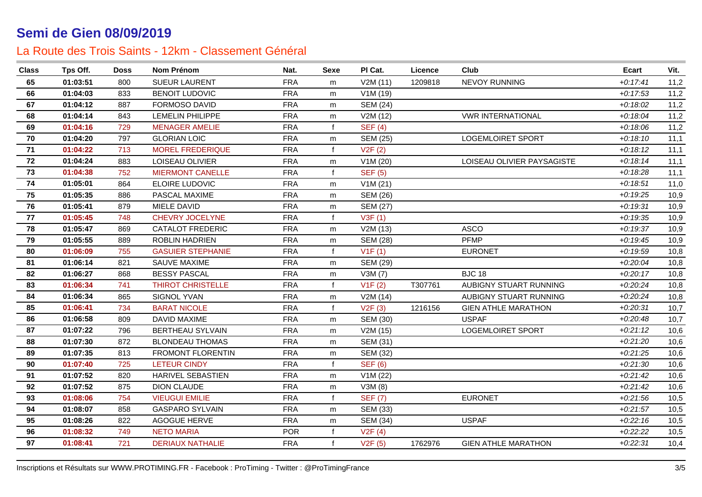| <b>Class</b> | Tps Off. | <b>Doss</b> | Nom Prénom               | Nat.       | <b>Sexe</b>  | PI Cat.         | Licence | Club                       | Ecart      | Vit. |
|--------------|----------|-------------|--------------------------|------------|--------------|-----------------|---------|----------------------------|------------|------|
| 65           | 01:03:51 | 800         | <b>SUEUR LAURENT</b>     | <b>FRA</b> | m            | V2M(11)         | 1209818 | <b>NEVOY RUNNING</b>       | $+0:17:41$ | 11,2 |
| 66           | 01:04:03 | 833         | <b>BENOIT LUDOVIC</b>    | <b>FRA</b> | m            | V1M(19)         |         |                            | $+0:17:53$ | 11,2 |
| 67           | 01:04:12 | 887         | <b>FORMOSO DAVID</b>     | <b>FRA</b> | m            | <b>SEM (24)</b> |         |                            | $+0.18:02$ | 11,2 |
| 68           | 01:04:14 | 843         | <b>LEMELIN PHILIPPE</b>  | <b>FRA</b> | m            | V2M (12)        |         | <b>VWR INTERNATIONAL</b>   | $+0.18:04$ | 11,2 |
| 69           | 01:04:16 | 729         | <b>MENAGER AMELIE</b>    | <b>FRA</b> | $\mathbf{f}$ | <b>SEF (4)</b>  |         |                            | $+0.18.06$ | 11,2 |
| 70           | 01:04:20 | 797         | <b>GLORIAN LOIC</b>      | <b>FRA</b> | m            | <b>SEM (25)</b> |         | <b>LOGEMLOIRET SPORT</b>   | $+0:18:10$ | 11,1 |
| 71           | 01:04:22 | 713         | <b>MOREL FREDERIQUE</b>  | <b>FRA</b> | $\mathbf{f}$ | V2F(2)          |         |                            | $+0:18:12$ | 11,1 |
| 72           | 01:04:24 | 883         | LOISEAU OLIVIER          | <b>FRA</b> | m            | V1M(20)         |         | LOISEAU OLIVIER PAYSAGISTE | $+0.18:14$ | 11,1 |
| 73           | 01:04:38 | 752         | <b>MIERMONT CANELLE</b>  | <b>FRA</b> | $\mathbf f$  | <b>SEF (5)</b>  |         |                            | $+0.18.28$ | 11,1 |
| 74           | 01:05:01 | 864         | ELOIRE LUDOVIC           | <b>FRA</b> | m            | V1M(21)         |         |                            | $+0:18:51$ | 11,0 |
| 75           | 01:05:35 | 886         | PASCAL MAXIME            | <b>FRA</b> | m            | <b>SEM (26)</b> |         |                            | $+0:19:25$ | 10,9 |
| 76           | 01:05:41 | 879         | MIELE DAVID              | <b>FRA</b> | m            | <b>SEM (27)</b> |         |                            | $+0:19:31$ | 10,9 |
| 77           | 01:05:45 | 748         | <b>CHEVRY JOCELYNE</b>   | <b>FRA</b> | $\mathbf{f}$ | V3F(1)          |         |                            | $+0.19.35$ | 10,9 |
| 78           | 01:05:47 | 869         | <b>CATALOT FREDERIC</b>  | <b>FRA</b> | m            | V2M (13)        |         | <b>ASCO</b>                | $+0.19.37$ | 10,9 |
| 79           | 01:05:55 | 889         | <b>ROBLIN HADRIEN</b>    | <b>FRA</b> | m            | <b>SEM (28)</b> |         | <b>PFMP</b>                | $+0.19:45$ | 10,9 |
| 80           | 01:06:09 | 755         | <b>GASUIER STEPHANIE</b> | <b>FRA</b> | $\mathbf{f}$ | V1F(1)          |         | <b>EURONET</b>             | $+0.19.59$ | 10,8 |
| 81           | 01:06:14 | 821         | SAUVE MAXIME             | <b>FRA</b> | m            | <b>SEM (29)</b> |         |                            | $+0.20:04$ | 10,8 |
| 82           | 01:06:27 | 868         | <b>BESSY PASCAL</b>      | <b>FRA</b> | m            | V3M(7)          |         | <b>BJC 18</b>              | $+0.20:17$ | 10,8 |
| 83           | 01:06:34 | 741         | <b>THIROT CHRISTELLE</b> | <b>FRA</b> | $\mathbf{f}$ | V1F(2)          | T307761 | AUBIGNY STUART RUNNING     | $+0.20.24$ | 10,8 |
| 84           | 01:06:34 | 865         | SIGNOL YVAN              | <b>FRA</b> | m            | V2M(14)         |         | AUBIGNY STUART RUNNING     | $+0.20.24$ | 10,8 |
| 85           | 01:06:41 | 734         | <b>BARAT NICOLE</b>      | <b>FRA</b> | $\mathbf{f}$ | V2F(3)          | 1216156 | <b>GIEN ATHLE MARATHON</b> | $+0.20.31$ | 10,7 |
| 86           | 01:06:58 | 809         | DAVID MAXIME             | <b>FRA</b> | m            | <b>SEM (30)</b> |         | <b>USPAF</b>               | $+0.20:48$ | 10,7 |
| 87           | 01:07:22 | 796         | <b>BERTHEAU SYLVAIN</b>  | <b>FRA</b> | m            | V2M (15)        |         | <b>LOGEMLOIRET SPORT</b>   | $+0.21:12$ | 10,6 |
| 88           | 01:07:30 | 872         | <b>BLONDEAU THOMAS</b>   | <b>FRA</b> | m            | <b>SEM (31)</b> |         |                            | $+0.21:20$ | 10,6 |
| 89           | 01:07:35 | 813         | FROMONT FLORENTIN        | <b>FRA</b> | m            | <b>SEM (32)</b> |         |                            | $+0.21.25$ | 10,6 |
| 90           | 01:07:40 | 725         | <b>LETEUR CINDY</b>      | <b>FRA</b> | f            | <b>SEF (6)</b>  |         |                            | $+0.21.30$ | 10,6 |
| 91           | 01:07:52 | 820         | <b>HARIVEL SEBASTIEN</b> | <b>FRA</b> | m            | V1M(22)         |         |                            | $+0.21:42$ | 10,6 |
| 92           | 01:07:52 | 875         | <b>DION CLAUDE</b>       | <b>FRA</b> | m            | V3M (8)         |         |                            | $+0.21:42$ | 10,6 |
| 93           | 01:08:06 | 754         | <b>VIEUGUI EMILIE</b>    | <b>FRA</b> | $\mathbf{f}$ | <b>SEF (7)</b>  |         | <b>EURONET</b>             | $+0.21.56$ | 10,5 |
| 94           | 01:08:07 | 858         | <b>GASPARO SYLVAIN</b>   | <b>FRA</b> | m            | <b>SEM (33)</b> |         |                            | $+0.21:57$ | 10,5 |
| 95           | 01:08:26 | 822         | AGOGUE HERVE             | <b>FRA</b> | m            | <b>SEM (34)</b> |         | <b>USPAF</b>               | $+0.22:16$ | 10,5 |
| 96           | 01:08:32 | 749         | <b>NETO MARIA</b>        | <b>POR</b> | f            | V2F(4)          |         |                            | $+0:22:22$ | 10,5 |
| 97           | 01:08:41 | 721         | <b>DERIAUX NATHALIE</b>  | <b>FRA</b> | $\mathbf{f}$ | V2F(5)          | 1762976 | <b>GIEN ATHLE MARATHON</b> | $+0.22:31$ | 10,4 |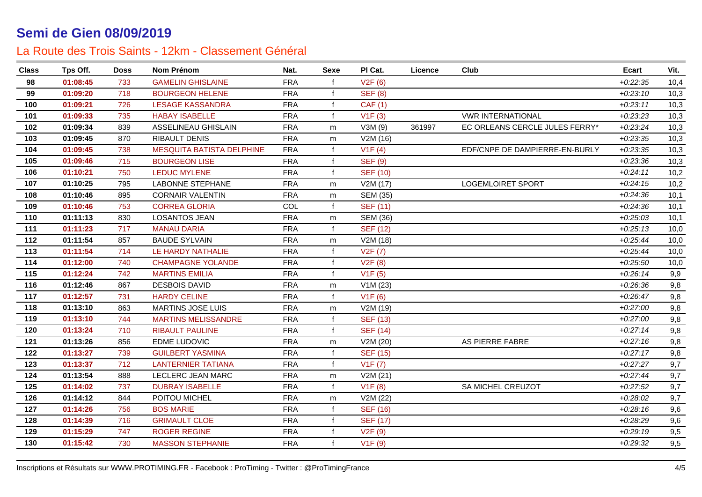| <b>Class</b> | Tps Off. | <b>Doss</b> | Nom Prénom                       | Nat.       | <b>Sexe</b>  | PI Cat.         | Licence | Club                           | Ecart      | Vit. |
|--------------|----------|-------------|----------------------------------|------------|--------------|-----------------|---------|--------------------------------|------------|------|
| 98           | 01:08:45 | 733         | <b>GAMELIN GHISLAINE</b>         | <b>FRA</b> | $\mathbf{f}$ | V2F(6)          |         |                                | $+0.22:35$ | 10,4 |
| 99           | 01:09:20 | 718         | <b>BOURGEON HELENE</b>           | <b>FRA</b> | f            | <b>SEF (8)</b>  |         |                                | $+0.23:10$ | 10,3 |
| 100          | 01:09:21 | 726         | <b>LESAGE KASSANDRA</b>          | <b>FRA</b> | $\mathbf f$  | <b>CAF</b> (1)  |         |                                | $+0.23:11$ | 10,3 |
| 101          | 01:09:33 | 735         | <b>HABAY ISABELLE</b>            | <b>FRA</b> | $\mathbf{f}$ | V1F(3)          |         | <b>VWR INTERNATIONAL</b>       | $+0.23.23$ | 10,3 |
| 102          | 01:09:34 | 839         | ASSELINEAU GHISLAIN              | <b>FRA</b> | m            | V3M (9)         | 361997  | EC ORLEANS CERCLE JULES FERRY* | $+0.23.24$ | 10,3 |
| 103          | 01:09:45 | 870         | RIBAULT DENIS                    | <b>FRA</b> | m            | V2M (16)        |         |                                | $+0.23.35$ | 10,3 |
| 104          | 01:09:45 | 738         | <b>MESQUITA BATISTA DELPHINE</b> | <b>FRA</b> | $\mathbf{f}$ | V1F(4)          |         | EDF/CNPE DE DAMPIERRE-EN-BURLY | $+0.23.35$ | 10,3 |
| 105          | 01:09:46 | 715         | <b>BOURGEON LISE</b>             | <b>FRA</b> | $\mathbf{f}$ | <b>SEF (9)</b>  |         |                                | $+0.23.36$ | 10,3 |
| 106          | 01:10:21 | 750         | <b>LEDUC MYLENE</b>              | <b>FRA</b> | $\mathbf f$  | <b>SEF (10)</b> |         |                                | $+0.24:11$ | 10,2 |
| 107          | 01:10:25 | 795         | <b>LABONNE STEPHANE</b>          | <b>FRA</b> | m            | V2M(17)         |         | <b>LOGEMLOIRET SPORT</b>       | $+0.24:15$ | 10,2 |
| 108          | 01:10:46 | 895         | <b>CORNAIR VALENTIN</b>          | <b>FRA</b> | m            | <b>SEM (35)</b> |         |                                | $+0.24.36$ | 10,1 |
| 109          | 01:10:46 | 753         | <b>CORREA GLORIA</b>             | COL        | $\mathbf{f}$ | <b>SEF (11)</b> |         |                                | $+0.24.36$ | 10,1 |
| 110          | 01:11:13 | 830         | <b>LOSANTOS JEAN</b>             | <b>FRA</b> | m            | <b>SEM (36)</b> |         |                                | $+0.25.03$ | 10,1 |
| 111          | 01:11:23 | 717         | <b>MANAU DARIA</b>               | <b>FRA</b> | $\mathbf{f}$ | <b>SEF (12)</b> |         |                                | $+0.25:13$ | 10,0 |
| 112          | 01:11:54 | 857         | <b>BAUDE SYLVAIN</b>             | <b>FRA</b> | m            | V2M (18)        |         |                                | $+0.25:44$ | 10,0 |
| 113          | 01:11:54 | 714         | LE HARDY NATHALIE                | <b>FRA</b> | $\mathbf{f}$ | V2F(7)          |         |                                | $+0.25:44$ | 10,0 |
| 114          | 01:12:00 | 740         | <b>CHAMPAGNE YOLANDE</b>         | <b>FRA</b> | $\mathbf{f}$ | V2F(8)          |         |                                | $+0.25:50$ | 10,0 |
| 115          | 01:12:24 | 742         | <b>MARTINS EMILIA</b>            | <b>FRA</b> | $\mathbf{f}$ | V1F(5)          |         |                                | $+0.26:14$ | 9,9  |
| 116          | 01:12:46 | 867         | <b>DESBOIS DAVID</b>             | <b>FRA</b> | m            | V1M(23)         |         |                                | $+0.26.36$ | 9,8  |
| 117          | 01:12:57 | 731         | <b>HARDY CELINE</b>              | <b>FRA</b> | $\mathbf f$  | V1F(6)          |         |                                | $+0.26:47$ | 9,8  |
| 118          | 01:13:10 | 863         | <b>MARTINS JOSE LUIS</b>         | <b>FRA</b> | m            | V2M (19)        |         |                                | $+0.27:00$ | 9,8  |
| 119          | 01:13:10 | 744         | <b>MARTINS MELISSANDRE</b>       | <b>FRA</b> | $\mathbf{f}$ | <b>SEF (13)</b> |         |                                | $+0.27:00$ | 9,8  |
| 120          | 01:13:24 | 710         | <b>RIBAULT PAULINE</b>           | <b>FRA</b> | f            | <b>SEF (14)</b> |         |                                | $+0.27:14$ | 9,8  |
| 121          | 01:13:26 | 856         | EDME LUDOVIC                     | <b>FRA</b> | m            | V2M (20)        |         | AS PIERRE FABRE                | $+0.27:16$ | 9,8  |
| 122          | 01:13:27 | 739         | <b>GUILBERT YASMINA</b>          | <b>FRA</b> | f            | <b>SEF (15)</b> |         |                                | $+0.27:17$ | 9,8  |
| 123          | 01:13:37 | 712         | <b>LANTERNIER TATIANA</b>        | <b>FRA</b> | f            | V1F(7)          |         |                                | $+0:27:27$ | 9,7  |
| 124          | 01:13:54 | 888         | LECLERC JEAN MARC                | <b>FRA</b> | m            | V2M(21)         |         |                                | $+0.27:44$ | 9,7  |
| 125          | 01:14:02 | 737         | <b>DUBRAY ISABELLE</b>           | <b>FRA</b> | $\mathbf{f}$ | V1F(8)          |         | SA MICHEL CREUZOT              | $+0.27:52$ | 9,7  |
| 126          | 01:14:12 | 844         | POITOU MICHEL                    | <b>FRA</b> | m            | V2M (22)        |         |                                | $+0.28:02$ | 9,7  |
| 127          | 01:14:26 | 756         | <b>BOS MARIE</b>                 | <b>FRA</b> | f            | <b>SEF (16)</b> |         |                                | $+0.28:16$ | 9,6  |
| 128          | 01:14:39 | 716         | <b>GRIMAULT CLOE</b>             | <b>FRA</b> | f            | <b>SEF (17)</b> |         |                                | $+0.28.29$ | 9,6  |
| 129          | 01:15:29 | 747         | <b>ROGER REGINE</b>              | <b>FRA</b> |              | V2F(9)          |         |                                | $+0.29:19$ | 9,5  |
| 130          | 01:15:42 | 730         | <b>MASSON STEPHANIE</b>          | <b>FRA</b> | $\mathbf{f}$ | V1F(9)          |         |                                | $+0.29.32$ | 9,5  |
|              |          |             |                                  |            |              |                 |         |                                |            |      |